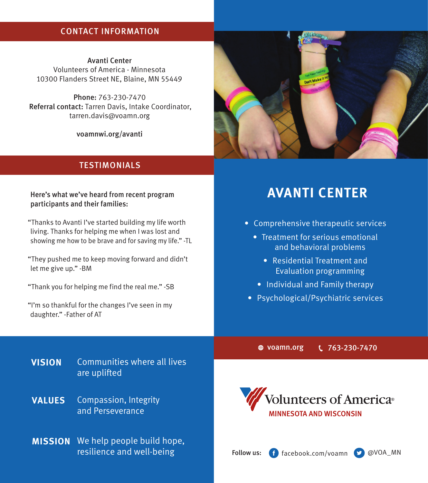# CONTACT INFORMATION

Avanti Center Volunteers of America - Minnesota 10300 Flanders Street NE, Blaine, MN 55449

Phone: 763-230-7470 Referral contact: Tarren Davis, Intake Coordinator, tarren.davis@voamn.org

voamnwi.org/avanti

## **TESTIMONIALS**

### Here's what we've heard from recent program participants and their families:

"Thanks to Avanti I've started building my life worth living. Thanks for helping me when I was lost and showing me how to be brave and for saving my life." -TL

"They pushed me to keep moving forward and didn't let me give up." -BM

"Thank you for helping me find the real me." -SB

"I'm so thankful for the changes I've seen in my daughter." -Father of AT

# Don't Make

# **AVANTI CENTER**

- Comprehensive therapeutic services
	- Treatment for serious emotional and behavioral problems
		- Residential Treatment and Evaluation programming
	- Individual and Family therapy
- Psychological/Psychiatric services

voamn.org 763-230-7470

- **VISION** Communities where all lives are uplifted
- Compassion, Integrity and Perseverance **VALUES**
- **MISSION** We help people build hope, resilience and well-being